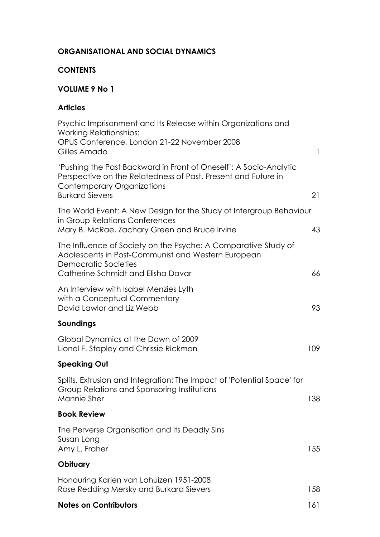### **ORGANISATIONAL AND SOCIAL DYNAMICS**

### **CONTENTS**

# **VOLUME 9 No 1**

# **Articles**

| Psychic Imprisonment and Its Release within Organizations and<br><b>Working Relationships:</b>                                                                                                    |              |
|---------------------------------------------------------------------------------------------------------------------------------------------------------------------------------------------------|--------------|
| OPUS Conference, London 21-22 November 2008<br>Gilles Amado                                                                                                                                       | $\mathbf{1}$ |
| 'Pushing the Past Backward in Front of Oneself': A Socio-Analytic<br>Perspective on the Relatedness of Past, Present and Future in<br><b>Contemporary Organizations</b><br><b>Burkard Sievers</b> | 21           |
| The World Event: A New Design for the Study of Intergroup Behaviour                                                                                                                               |              |
| in Group Relations Conferences<br>Mary B. McRae, Zachary Green and Bruce Irvine                                                                                                                   | 43           |
| The Influence of Society on the Psyche: A Comparative Study of<br>Adolescents in Post-Communist and Western European<br>Democratic Societies<br>Catherine Schmidt and Elisha Davar                | 66           |
| An Interview with Isabel Menzies Lyth<br>with a Conceptual Commentary<br>David Lawlor and Liz Webb                                                                                                | 93           |
| Soundings                                                                                                                                                                                         |              |
| Global Dynamics at the Dawn of 2009<br>Lionel F. Stapley and Chrissie Rickman                                                                                                                     | 109          |
| <b>Speaking Out</b>                                                                                                                                                                               |              |
| Splits, Extrusion and Integration: The Impact of 'Potential Space' for<br>Group Relations and Sponsoring Institutions<br>Mannie Sher                                                              | 138          |
| <b>Book Review</b>                                                                                                                                                                                |              |
| The Perverse Organisation and its Deadly Sins<br>Susan Long<br>Amy L. Fraher                                                                                                                      | 155          |
| Obituary                                                                                                                                                                                          |              |
| Honouring Karien van Lohuizen 1951-2008<br>Rose Redding Mersky and Burkard Sievers                                                                                                                | 158          |
| <b>Notes on Contributors</b>                                                                                                                                                                      | 161          |